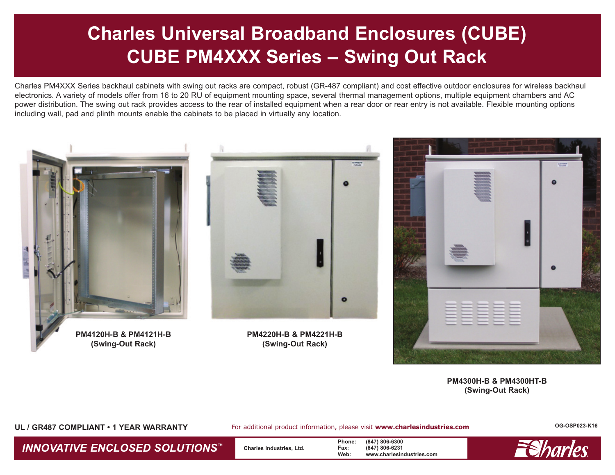# **Charles Universal Broadband Enclosures (CUBE) CUBE PM4XXX Series – Swing Out Rack**

Charles PM4XXX Series backhaul cabinets with swing out racks are compact, robust (GR-487 compliant) and cost effective outdoor enclosures for wireless backhaul electronics. A variety of models offer from 16 to 20 RU of equipment mounting space, several thermal management options, multiple equipment chambers and AC power distribution. The swing out rack provides access to the rear of installed equipment when a rear door or rear entry is not available. Flexible mounting options including wall, pad and plinth mounts enable the cabinets to be placed in virtually any location.



**PM4300H-B & PM4300HT-B (Swing-Out Rack)**

**UL / GR487 COMPLIANT • 1 YEAR WARRANTY**

For additional product information, please visit **www.charlesindustries.com**

**OG-OSP023-K16**

**INNOVATIVE ENCLOSED SOLUTIONS™** Charles Industries, Ltd. **Phone:** (847) 806-6300<br>
Web: www.charlesin

**Web: www.charlesindustries.com**